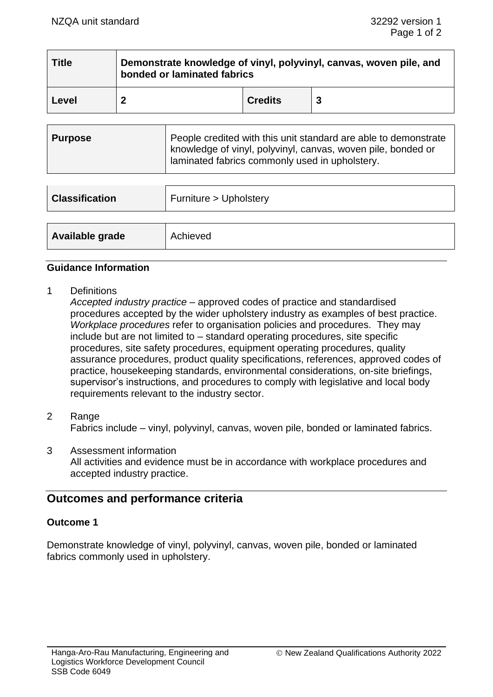| <b>Title</b> | Demonstrate knowledge of vinyl, polyvinyl, canvas, woven pile, and<br>bonded or laminated fabrics |                |  |  |
|--------------|---------------------------------------------------------------------------------------------------|----------------|--|--|
| Level        |                                                                                                   | <b>Credits</b> |  |  |

| <b>Classification</b> | Furniture > Upholstery |
|-----------------------|------------------------|
|                       |                        |
| Available grade       | Achieved               |

### **Guidance Information**

1 Definitions

*Accepted industry practice* – approved codes of practice and standardised procedures accepted by the wider upholstery industry as examples of best practice. *Workplace procedures* refer to organisation policies and procedures. They may include but are not limited to – standard operating procedures, site specific procedures, site safety procedures, equipment operating procedures, quality assurance procedures, product quality specifications, references, approved codes of practice, housekeeping standards, environmental considerations, on-site briefings, supervisor's instructions, and procedures to comply with legislative and local body requirements relevant to the industry sector.

- 2 Range Fabrics include – vinyl, polyvinyl, canvas, woven pile, bonded or laminated fabrics.
- 3 Assessment information All activities and evidence must be in accordance with workplace procedures and accepted industry practice.

# **Outcomes and performance criteria**

## **Outcome 1**

Demonstrate knowledge of vinyl, polyvinyl, canvas, woven pile, bonded or laminated fabrics commonly used in upholstery.